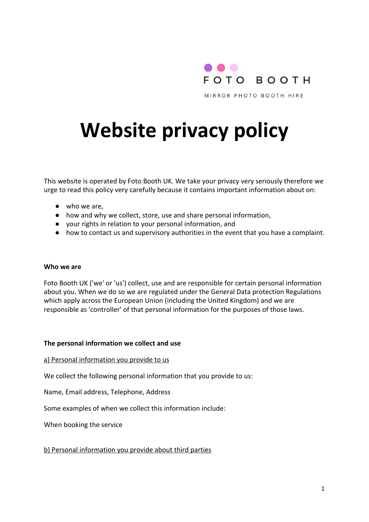

# **Website privacy policy**

This website is operated by Foto Booth UK. We take your privacy very seriously therefore we urge to read this policy very carefully because it contains important information about on:

- who we are,
- how and why we collect, store, use and share personal information,
- your rights in relation to your personal information, and
- how to contact us and supervisory authorities in the event that you have a complaint.

#### **Who we are**

Foto Booth UK ('we' or 'us') collect, use and are responsible for certain personal information about you. When we do so we are regulated under the General Data protection Regulations which apply across the European Union (including the United Kingdom) and we are responsible as 'controller' of that personal information for the purposes of those laws.

#### **The personal information we collect and use**

#### a) Personal information you provide to us

We collect the following personal information that you provide to us:

Name, Email address, Telephone, Address

Some examples of when we collect this information include:

When booking the service

b) Personal information you provide about third parties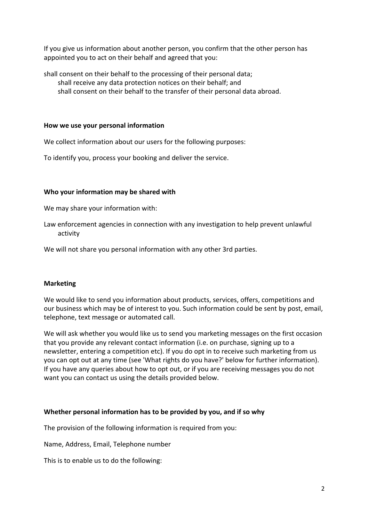If you give us information about another person, you confirm that the other person has appointed you to act on their behalf and agreed that you:

shall consent on their behalf to the processing of their personal data; shall receive any data protection notices on their behalf; and shall consent on their behalf to the transfer of their personal data abroad.

## **How we use your personal information**

We collect information about our users for the following purposes:

To identify you, process your booking and deliver the service.

#### **Who your information may be shared with**

We may share your information with:

Law enforcement agencies in connection with any investigation to help prevent unlawful activity

We will not share you personal information with any other 3rd parties.

#### **Marketing**

We would like to send you information about products, services, offers, competitions and our business which may be of interest to you. Such information could be sent by post, email, telephone, text message or automated call.

We will ask whether you would like us to send you marketing messages on the first occasion that you provide any relevant contact information (i.e. on purchase, signing up to a newsletter, entering a competition etc). If you do opt in to receive such marketing from us you can opt out at any time (see 'What rights do you have?' below for further information). If you have any queries about how to opt out, or if you are receiving messages you do not want you can contact us using the details provided below.

## **Whether personal information has to be provided by you, and if so why**

The provision of the following information is required from you:

Name, Address, Email, Telephone number

This is to enable us to do the following: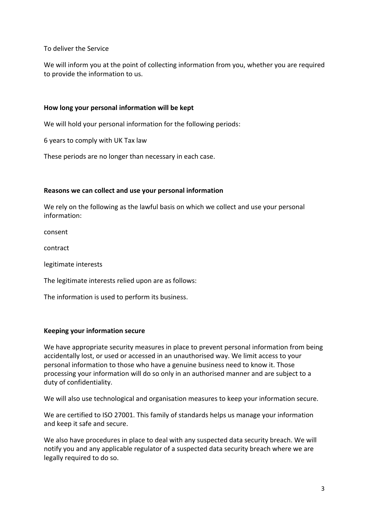To deliver the Service

We will inform you at the point of collecting information from you, whether you are required to provide the information to us.

## **How long your personal information will be kept**

We will hold your personal information for the following periods:

6 years to comply with UK Tax law

These periods are no longer than necessary in each case.

## **Reasons we can collect and use your personal information**

We rely on the following as the lawful basis on which we collect and use your personal information:

consent

contract

legitimate interests

The legitimate interests relied upon are as follows:

The information is used to perform its business.

## **Keeping your information secure**

We have appropriate security measures in place to prevent personal information from being accidentally lost, or used or accessed in an unauthorised way. We limit access to your personal information to those who have a genuine business need to know it. Those processing your information will do so only in an authorised manner and are subject to a duty of confidentiality.

We will also use technological and organisation measures to keep your information secure.

We are certified to ISO 27001. This family of standards helps us manage your information and keep it safe and secure.

We also have procedures in place to deal with any suspected data security breach. We will notify you and any applicable regulator of a suspected data security breach where we are legally required to do so.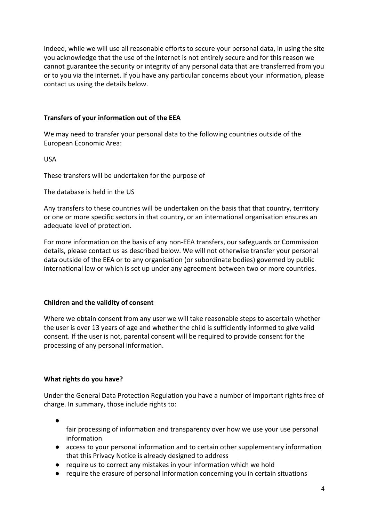Indeed, while we will use all reasonable efforts to secure your personal data, in using the site you acknowledge that the use of the internet is not entirely secure and for this reason we cannot guarantee the security or integrity of any personal data that are transferred from you or to you via the internet. If you have any particular concerns about your information, please contact us using the details below.

## **Transfers of your information out of the EEA**

We may need to transfer your personal data to the following countries outside of the European Economic Area:

USA

These transfers will be undertaken for the purpose of

The database is held in the US

Any transfers to these countries will be undertaken on the basis that that country, territory or one or more specific sectors in that country, or an international organisation ensures an adequate level of protection.

For more information on the basis of any non-EEA transfers, our safeguards or Commission details, please contact us as described below. We will not otherwise transfer your personal data outside of the EEA or to any organisation (or subordinate bodies) governed by public international law or which is set up under any agreement between two or more countries.

# **Children and the validity of consent**

Where we obtain consent from any user we will take reasonable steps to ascertain whether the user is over 13 years of age and whether the child is sufficiently informed to give valid consent. If the user is not, parental consent will be required to provide consent for the processing of any personal information.

# **What rights do you have?**

●

Under the General Data Protection Regulation you have a number of important rights free of charge. In summary, those include rights to:

fair processing of information and transparency over how we use your use personal information

- access to your personal information and to certain other supplementary information that this Privacy Notice is already designed to address
- require us to correct any mistakes in your information which we hold
- require the erasure of personal information concerning you in certain situations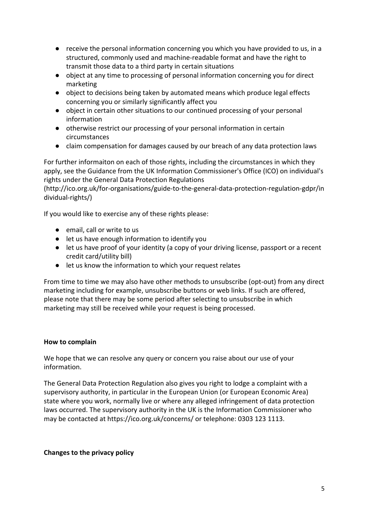- receive the personal information concerning you which you have provided to us, in a structured, commonly used and machine-readable format and have the right to transmit those data to a third party in certain situations
- object at any time to processing of personal information concerning you for direct marketing
- object to decisions being taken by automated means which produce legal effects concerning you or similarly significantly affect you
- object in certain other situations to our continued processing of your personal information
- otherwise restrict our processing of your personal information in certain circumstances
- claim compensation for damages caused by our breach of any data protection laws

For further informaiton on each of those rights, including the circumstances in which they apply, see the Guidance from the UK Information Commissioner's Office (ICO) on individual's rights under the General Data Protection Regulations

(http://ico.org.uk/for-organisations/guide-to-the-general-data-protection-regulation-gdpr/in dividual-rights/)

If you would like to exercise any of these rights please:

- email, call or write to us
- let us have enough information to identify you
- let us have proof of your identity (a copy of your driving license, passport or a recent credit card/utility bill)
- let us know the information to which your request relates

From time to time we may also have other methods to unsubscribe (opt-out) from any direct marketing including for example, unsubscribe buttons or web links. If such are offered, please note that there may be some period after selecting to unsubscribe in which marketing may still be received while your request is being processed.

## **How to complain**

We hope that we can resolve any query or concern you raise about our use of your information.

The General Data Protection Regulation also gives you right to lodge a complaint with a supervisory authority, in particular in the European Union (or European Economic Area) state where you work, normally live or where any alleged infringement of data protection laws occurred. The supervisory authority in the UK is the Information Commissioner who may be contacted at https://ico.org.uk/concerns/ or telephone: 0303 123 1113.

## **Changes to the privacy policy**